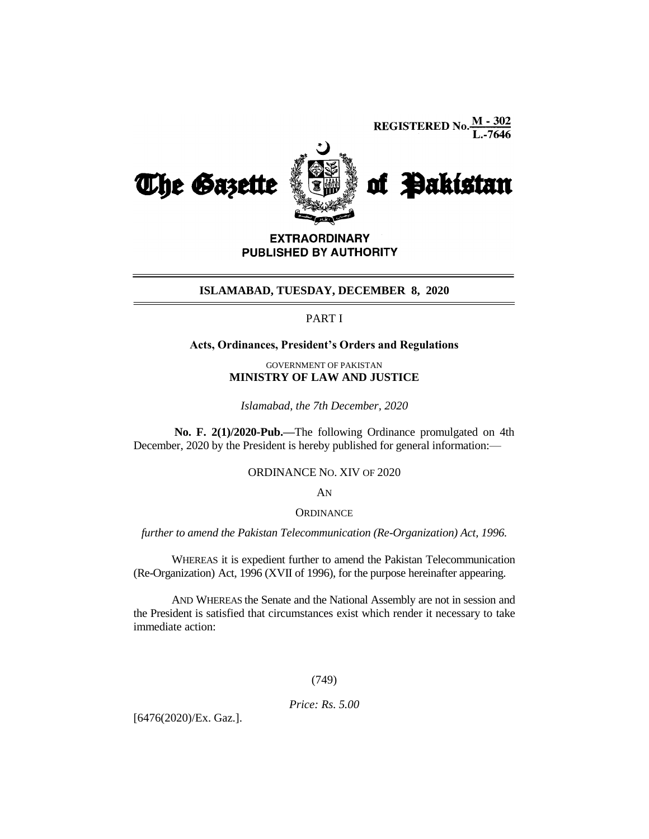**REGISTERED No.**  $\frac{M - 302}{L - 7646}$ 



**EXTRAORDINARY** PUBLISHED BY AUTHORITY

#### **ISLAMABAD, TUESDAY, DECEMBER 8, 2020**

### PART I

# **Acts, Ordinances, President's Orders and Regulations**

GOVERNMENT OF PAKISTAN **MINISTRY OF LAW AND JUSTICE**

*Islamabad, the 7th December, 2020*

**No. F. 2(1)/2020-Pub.—**The following Ordinance promulgated on 4th December, 2020 by the President is hereby published for general information:—

#### ORDINANCE NO. XIV OF 2020

AN

**ORDINANCE** 

*further to amend the Pakistan Telecommunication (Re-Organization) Act, 1996.*

WHEREAS it is expedient further to amend the Pakistan Telecommunication (Re-Organization) Act, 1996 (XVII of 1996), for the purpose hereinafter appearing.

AND WHEREAS the Senate and the National Assembly are not in session and the President is satisfied that circumstances exist which render it necessary to take immediate action:

# (749)

*Price: Rs. 5.00*

[6476(2020)/Ex. Gaz.].